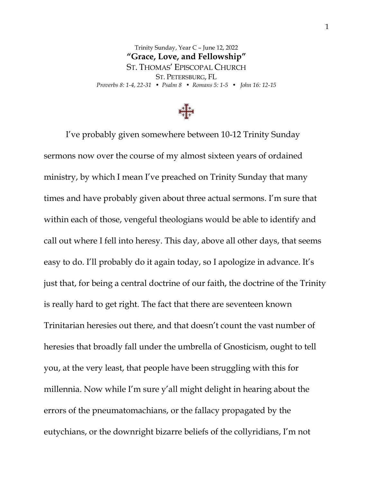Trinity Sunday, Year C – June 12, 2022 **"Grace, Love, and Fellowship"** ST. THOMAS' EPISCOPAL CHURCH ST. PETERSBURG, FL *Proverbs 8: 1-4, 22-31 • Psalm 8 • Romans 5: 1-5 • John 16: 12-15*



I've probably given somewhere between 10-12 Trinity Sunday sermons now over the course of my almost sixteen years of ordained ministry, by which I mean I've preached on Trinity Sunday that many times and have probably given about three actual sermons. I'm sure that within each of those, vengeful theologians would be able to identify and call out where I fell into heresy. This day, above all other days, that seems easy to do. I'll probably do it again today, so I apologize in advance. It's just that, for being a central doctrine of our faith, the doctrine of the Trinity is really hard to get right. The fact that there are seventeen known Trinitarian heresies out there, and that doesn't count the vast number of heresies that broadly fall under the umbrella of Gnosticism, ought to tell you, at the very least, that people have been struggling with this for millennia. Now while I'm sure y'all might delight in hearing about the errors of the pneumatomachians, or the fallacy propagated by the eutychians, or the downright bizarre beliefs of the collyridians, I'm not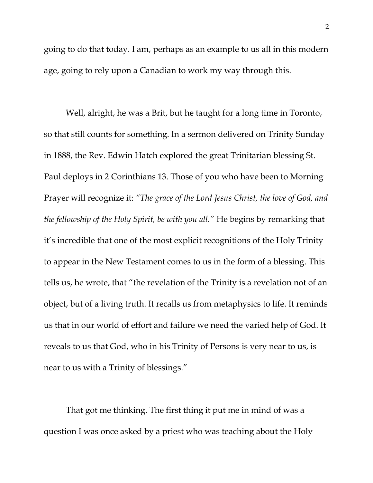going to do that today. I am, perhaps as an example to us all in this modern age, going to rely upon a Canadian to work my way through this.

Well, alright, he was a Brit, but he taught for a long time in Toronto, so that still counts for something. In a sermon delivered on Trinity Sunday in 1888, the Rev. Edwin Hatch explored the great Trinitarian blessing St. Paul deploys in 2 Corinthians 13. Those of you who have been to Morning Prayer will recognize it: *"The grace of the Lord Jesus Christ, the love of God, and the fellowship of the Holy Spirit, be with you all."* He begins by remarking that it's incredible that one of the most explicit recognitions of the Holy Trinity to appear in the New Testament comes to us in the form of a blessing. This tells us, he wrote, that "the revelation of the Trinity is a revelation not of an object, but of a living truth. It recalls us from metaphysics to life. It reminds us that in our world of effort and failure we need the varied help of God. It reveals to us that God, who in his Trinity of Persons is very near to us, is near to us with a Trinity of blessings."

That got me thinking. The first thing it put me in mind of was a question I was once asked by a priest who was teaching about the Holy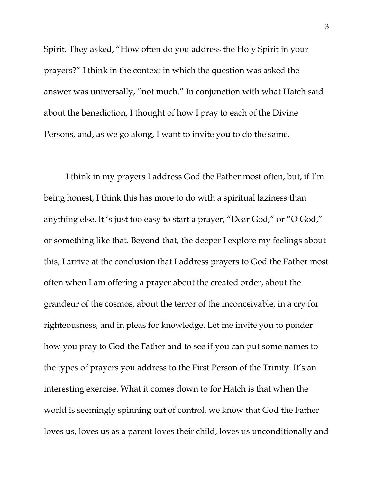Spirit. They asked, "How often do you address the Holy Spirit in your prayers?" I think in the context in which the question was asked the answer was universally, "not much." In conjunction with what Hatch said about the benediction, I thought of how I pray to each of the Divine Persons, and, as we go along, I want to invite you to do the same.

I think in my prayers I address God the Father most often, but, if I'm being honest, I think this has more to do with a spiritual laziness than anything else. It 's just too easy to start a prayer, "Dear God," or "O God," or something like that. Beyond that, the deeper I explore my feelings about this, I arrive at the conclusion that I address prayers to God the Father most often when I am offering a prayer about the created order, about the grandeur of the cosmos, about the terror of the inconceivable, in a cry for righteousness, and in pleas for knowledge. Let me invite you to ponder how you pray to God the Father and to see if you can put some names to the types of prayers you address to the First Person of the Trinity. It's an interesting exercise. What it comes down to for Hatch is that when the world is seemingly spinning out of control, we know that God the Father loves us, loves us as a parent loves their child, loves us unconditionally and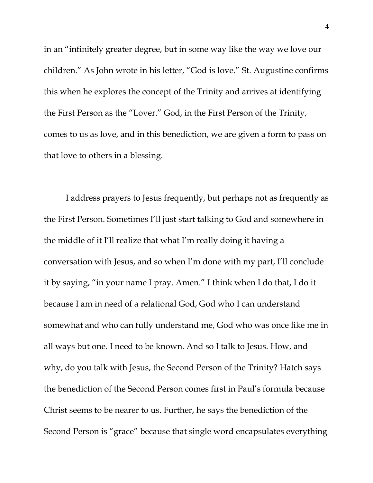in an "infinitely greater degree, but in some way like the way we love our children." As John wrote in his letter, "God is love." St. Augustine confirms this when he explores the concept of the Trinity and arrives at identifying the First Person as the "Lover." God, in the First Person of the Trinity, comes to us as love, and in this benediction, we are given a form to pass on that love to others in a blessing.

I address prayers to Jesus frequently, but perhaps not as frequently as the First Person. Sometimes I'll just start talking to God and somewhere in the middle of it I'll realize that what I'm really doing it having a conversation with Jesus, and so when I'm done with my part, I'll conclude it by saying, "in your name I pray. Amen." I think when I do that, I do it because I am in need of a relational God, God who I can understand somewhat and who can fully understand me, God who was once like me in all ways but one. I need to be known. And so I talk to Jesus. How, and why, do you talk with Jesus, the Second Person of the Trinity? Hatch says the benediction of the Second Person comes first in Paul's formula because Christ seems to be nearer to us. Further, he says the benediction of the Second Person is "grace" because that single word encapsulates everything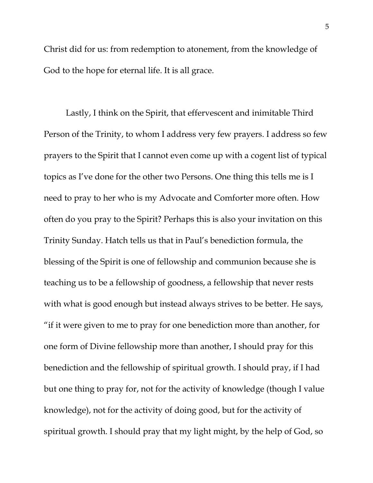Christ did for us: from redemption to atonement, from the knowledge of God to the hope for eternal life. It is all grace.

Lastly, I think on the Spirit, that effervescent and inimitable Third Person of the Trinity, to whom I address very few prayers. I address so few prayers to the Spirit that I cannot even come up with a cogent list of typical topics as I've done for the other two Persons. One thing this tells me is I need to pray to her who is my Advocate and Comforter more often. How often do you pray to the Spirit? Perhaps this is also your invitation on this Trinity Sunday. Hatch tells us that in Paul's benediction formula, the blessing of the Spirit is one of fellowship and communion because she is teaching us to be a fellowship of goodness, a fellowship that never rests with what is good enough but instead always strives to be better. He says, "if it were given to me to pray for one benediction more than another, for one form of Divine fellowship more than another, I should pray for this benediction and the fellowship of spiritual growth. I should pray, if I had but one thing to pray for, not for the activity of knowledge (though I value knowledge), not for the activity of doing good, but for the activity of spiritual growth. I should pray that my light might, by the help of God, so